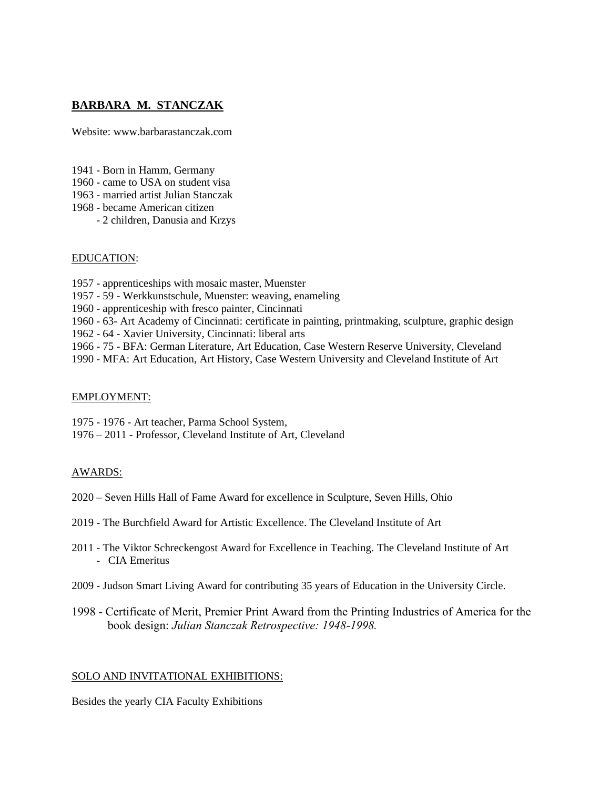# **BARBARA M. STANCZAK**

Website: www.barbarastanczak.com

- 1941 Born in Hamm, Germany
- 1960 came to USA on student visa
- 1963 married artist Julian Stanczak
- 1968 became American citizen
	- 2 children, Danusia and Krzys

### EDUCATION:

- 1957 apprenticeships with mosaic master, Muenster
- 1957 59 Werkkunstschule, Muenster: weaving, enameling
- 1960 apprenticeship with fresco painter, Cincinnati
- 1960 63- Art Academy of Cincinnati: certificate in painting, printmaking, sculpture, graphic design
- 1962 64 Xavier University, Cincinnati: liberal arts
- 1966 75 BFA: German Literature, Art Education, Case Western Reserve University, Cleveland
- 1990 MFA: Art Education, Art History, Case Western University and Cleveland Institute of Art

## EMPLOYMENT:

- 1975 1976 Art teacher, Parma School System,
- 1976 2011 Professor, Cleveland Institute of Art, Cleveland

## AWARDS:

- 2020 Seven Hills Hall of Fame Award for excellence in Sculpture, Seven Hills, Ohio
- 2019 The Burchfield Award for Artistic Excellence. The Cleveland Institute of Art
- 2011 The Viktor Schreckengost Award for Excellence in Teaching. The Cleveland Institute of Art - CIA Emeritus
- 2009 Judson Smart Living Award for contributing 35 years of Education in the University Circle.
- 1998 Certificate of Merit, Premier Print Award from the Printing Industries of America for the book design: *Julian Stanczak Retrospective: 1948-1998.*

## SOLO AND INVITATIONAL EXHIBITIONS:

Besides the yearly CIA Faculty Exhibitions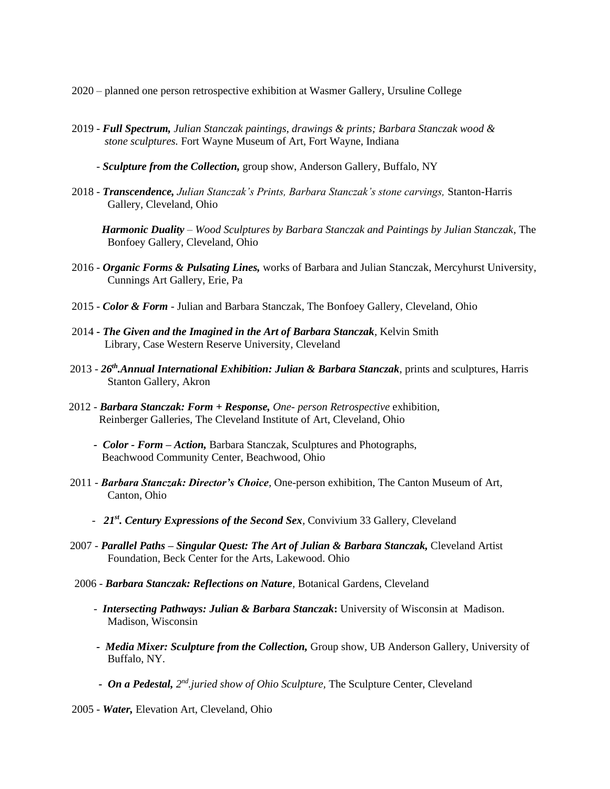2020 – planned one person retrospective exhibition at Wasmer Gallery, Ursuline College

2019 - *Full Spectrum, Julian Stanczak paintings, drawings & prints; Barbara Stanczak wood & stone sculptures.* Fort Wayne Museum of Art, Fort Wayne, Indiana

- *Sculpture from the Collection,* group show, Anderson Gallery, Buffalo, NY

2018 - *Transcendence, Julian Stanczak's Prints, Barbara Stanczak's stone carvings,* Stanton-Harris Gallery, Cleveland, Ohio

 *Harmonic Duality – Wood Sculptures by Barbara Stanczak and Paintings by Julian Stanczak*, The Bonfoey Gallery, Cleveland, Ohio

- 2016 *Organic Forms & Pulsating Lines,* works of Barbara and Julian Stanczak, Mercyhurst University, Cunnings Art Gallery, Erie, Pa
- 2015 *Color & Form* Julian and Barbara Stanczak*,* The Bonfoey Gallery, Cleveland, Ohio
- 2014 **-** *The Given and the Imagined in the Art of Barbara Stanczak*, Kelvin Smith Library, Case Western Reserve University, Cleveland
- 2013 *26th.Annual International Exhibition: Julian & Barbara Stanczak*, prints and sculptures, Harris Stanton Gallery, Akron
- 2012 *Barbara Stanczak: Form + Response, One- person Retrospective* exhibition, Reinberger Galleries, The Cleveland Institute of Art, Cleveland, Ohio
	- *Color - Form – Action,* Barbara Stanczak, Sculptures and Photographs, Beachwood Community Center, Beachwood, Ohio
- 2011 *Barbara Stanczak: Director's Choice,* One-person exhibition, The Canton Museum of Art, Canton, Ohio
	- *21st. Century Expressions of the Second Sex,* Convivium 33 Gallery, Cleveland
- 2007 *- Parallel Paths – Singular Quest: The Art of Julian & Barbara Stanczak,* Cleveland Artist Foundation, Beck Center for the Arts, Lakewood. Ohio
- 2006 *Barbara Stanczak: Reflections on Nature,* Botanical Gardens, Cleveland
	- *Intersecting Pathways: Julian & Barbara Stanczak***:** University of Wisconsin at Madison. Madison, Wisconsin
	- *Media Mixer: Sculpture from the Collection,* Group show, UB Anderson Gallery, University of Buffalo, NY.
	- *<i>On a Pedestal,*  $2^{nd}$  *juried show of Ohio Sculpture,* The Sculpture Center, Cleveland
- 2005 *Water,* Elevation Art, Cleveland, Ohio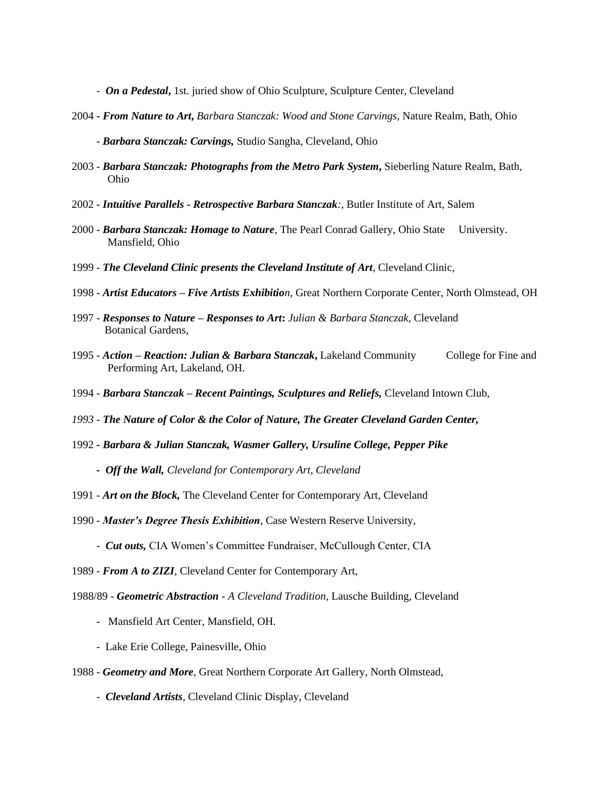*- On a Pedestal***,** 1st. juried show of Ohio Sculpture, Sculpture Center, Cleveland

- 2004 **-** *From Nature to Art***,** *Barbara Stanczak: Wood and Stone Carvings*, Nature Realm, Bath, Ohio
	- *Barbara Stanczak: Carvings,* Studio Sangha, Cleveland, Ohio
- 2003 *Barbara Stanczak: Photographs from the Metro Park System***,** Sieberling Nature Realm, Bath, Ohio
- 2002 *Intuitive Parallels - Retrospective Barbara Stanczak:,* Butler Institute of Art, Salem
- 2000 *Barbara Stanczak: Homage to Nature,* The Pearl Conrad Gallery, Ohio State University. Mansfield, Ohio
- 1999 *The Cleveland Clinic presents the Cleveland Institute of Art,* Cleveland Clinic,
- 1998 *Artist Educators – Five Artists Exhibition,* Great Northern Corporate Center, North Olmstead, OH
- 1997 *Responses to Nature – Responses to Art***:** *Julian & Barbara Stanczak,* Cleveland Botanical Gardens,
- 1995 *Action – Reaction: Julian & Barbara Stanczak***,** Lakeland Community College for Fine and Performing Art, Lakeland, OH.
- 1994 *Barbara Stanczak – Recent Paintings, Sculptures and Reliefs,* Cleveland Intown Club,
- *1993 - The Nature of Color & the Color of Nature, The Greater Cleveland Garden Center,*
- 1992 *- Barbara & Julian Stanczak, Wasmer Gallery, Ursuline College, Pepper Pike*
	- *Off the Wall, Cleveland for Contemporary Art, Cleveland*
- 1991 *Art on the Block,* The Cleveland Center for Contemporary Art, Cleveland
- 1990 *Master's Degree Thesis Exhibition,* Case Western Reserve University,
	- *Cut outs,* CIA Women's Committee Fundraiser, McCullough Center, CIA
- 1989 *From A to ZIZI,* Cleveland Center for Contemporary Art,
- 1988/89 *Geometric Abstraction - A Cleveland Tradition,* Lausche Building, Cleveland
	- Mansfield Art Center, Mansfield, OH.
	- Lake Erie College, Painesville, Ohio
- 1988 *Geometry and More,* Great Northern Corporate Art Gallery, North Olmstead,
	- *Cleveland Artists,* Cleveland Clinic Display, Cleveland